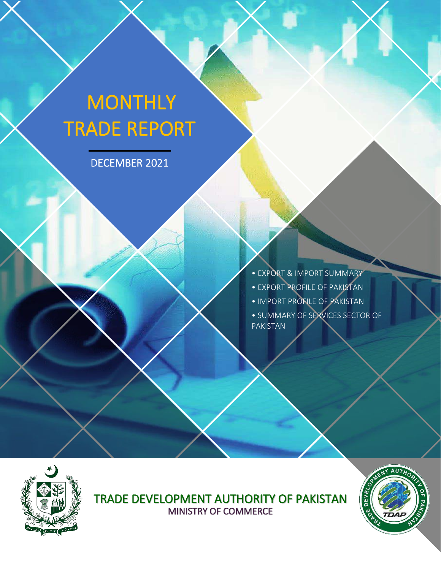# **MONTHLY** TRADE REPORT

DECEMBER 2021

• EXPORT & IMPORT SUMMARY • EXPORT PROFILE OF PAKISTAN • IMPORT PROFILE OF PAKISTAN • SUMMARY OF SERVICES SECTOR OF PAKISTAN



ì

TRADE DEVELOPMENT AUTHORITY OF PAKISTAN MINISTRY OF COMMERCE

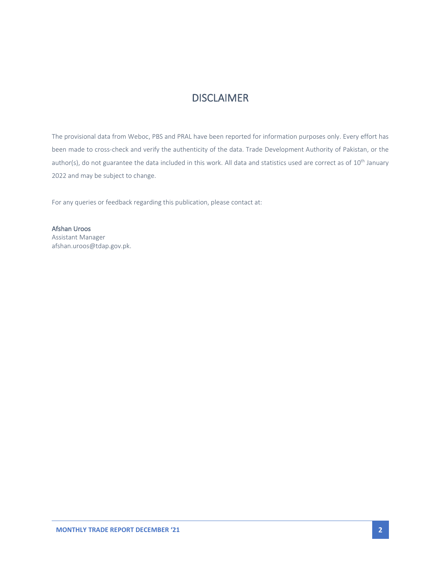### **DISCLAIMER**

The provisional data from Weboc, PBS and PRAL have been reported for information purposes only. Every effort has been made to cross-check and verify the authenticity of the data. Trade Development Authority of Pakistan, or the author(s), do not guarantee the data included in this work. All data and statistics used are correct as of 10<sup>th</sup> January 2022 and may be subject to change.

For any queries or feedback regarding this publication, please contact at:

Afshan Uroos Assistant Manager afshan.uroos@tdap.gov.pk.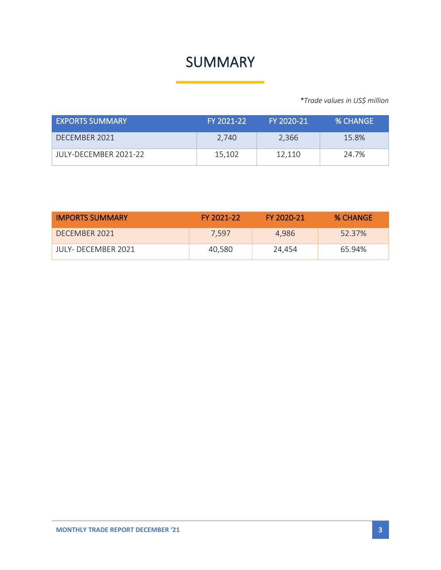## SUMMARY

*\*Trade values in US\$ million*

| <b>EXPORTS SUMMARY</b> | FY 2021-22 | FY 2020-21 | % CHANGE |
|------------------------|------------|------------|----------|
| DECEMBER 2021          | 2,740      | 2.366      | 15.8%    |
| JULY-DECEMBER 2021-22  | 15,102     | 12,110     | 24.7%    |

| <b>IMPORTS SUMMARY</b> | FY 2021-22 | FY 2020-21 | <b>% CHANGE</b> |
|------------------------|------------|------------|-----------------|
| DECEMBER 2021          | 7.597      | 4.986      | 52.37%          |
| JULY- DECEMBER 2021    | 40.580     | 24.454     | 65.94%          |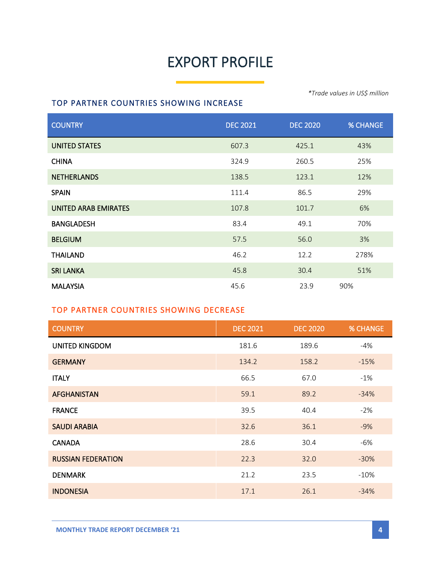# EXPORT PROFILE

#### TOP PARTNER COUNTRIES SHOWING INCREASE

*\*Trade values in US\$ million*

| <b>COUNTRY</b>       | <b>DEC 2021</b> | <b>DEC 2020</b> | <b>% CHANGE</b> |
|----------------------|-----------------|-----------------|-----------------|
| <b>UNITED STATES</b> | 607.3           | 425.1           | 43%             |
| <b>CHINA</b>         | 324.9           | 260.5           | 25%             |
| <b>NETHERLANDS</b>   | 138.5           | 123.1           | 12%             |
| <b>SPAIN</b>         | 111.4           | 86.5            | 29%             |
| UNITED ARAB EMIRATES | 107.8           | 101.7           | 6%              |
| <b>BANGLADESH</b>    | 83.4            | 49.1            | 70%             |
| <b>BELGIUM</b>       | 57.5            | 56.0            | 3%              |
| <b>THAILAND</b>      | 46.2            | 12.2            | 278%            |
| <b>SRI LANKA</b>     | 45.8            | 30.4            | 51%             |
| <b>MALAYSIA</b>      | 45.6            | 23.9            | 90%             |

### TOP PARTNER COUNTRIES SHOWING DECREASE

| <b>COUNTRY</b>            | <b>DEC 2021</b> | <b>DEC 2020</b> | <b>% CHANGE</b> |
|---------------------------|-----------------|-----------------|-----------------|
| <b>UNITED KINGDOM</b>     | 181.6           | 189.6           | -4%             |
| <b>GERMANY</b>            | 134.2           | 158.2           | $-15%$          |
| <b>ITALY</b>              | 66.5            | 67.0            | $-1\%$          |
| <b>AFGHANISTAN</b>        | 59.1            | 89.2            | $-34%$          |
| <b>FRANCE</b>             | 39.5            | 40.4            | $-2%$           |
| <b>SAUDI ARABIA</b>       | 32.6            | 36.1            | $-9%$           |
| <b>CANADA</b>             | 28.6            | 30.4            | -6%             |
| <b>RUSSIAN FEDERATION</b> | 22.3            | 32.0            | $-30%$          |
| <b>DENMARK</b>            | 21.2            | 23.5            | $-10%$          |
| <b>INDONESIA</b>          | 17.1            | 26.1            | $-34%$          |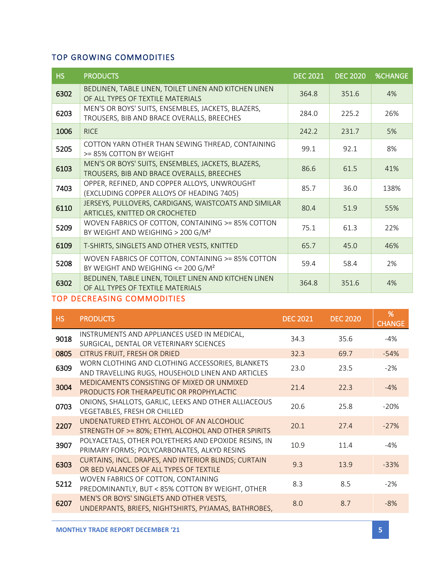### TOP GROWING COMMODITIES

| <b>HS</b> | <b>PRODUCTS</b>                                                                                       | <b>DEC 2021</b> | <b>DEC 2020</b> | <b>%CHANGE</b> |
|-----------|-------------------------------------------------------------------------------------------------------|-----------------|-----------------|----------------|
| 6302      | BEDLINEN, TABLE LINEN, TOILET LINEN AND KITCHEN LINEN<br>OF ALL TYPES OF TEXTILE MATERIALS            | 364.8           | 351.6           | 4%             |
| 6203      | MEN'S OR BOYS' SUITS, ENSEMBLES, JACKETS, BLAZERS,<br>TROUSERS, BIB AND BRACE OVERALLS, BREECHES      | 284.0           | 225.2           | 26%            |
| 1006      | <b>RICE</b>                                                                                           | 242.2           | 231.7           | 5%             |
| 5205      | COTTON YARN OTHER THAN SEWING THREAD, CONTAINING<br>>= 85% COTTON BY WEIGHT                           | 99.1            | 92.1            | 8%             |
| 6103      | MEN'S OR BOYS' SUITS, ENSEMBLES, JACKETS, BLAZERS,<br>TROUSERS, BIB AND BRACE OVERALLS, BREECHES      | 86.6            | 61.5            | 41%            |
| 7403      | OPPER, REFINED, AND COPPER ALLOYS, UNWROUGHT<br>(EXCLUDING COPPER ALLOYS OF HEADING 7405)             | 85.7            | 36.0            | 138%           |
| 6110      | JERSEYS, PULLOVERS, CARDIGANS, WAISTCOATS AND SIMILAR<br>ARTICLES, KNITTED OR CROCHETED               | 80.4            | 51.9            | 55%            |
| 5209      | WOVEN FABRICS OF COTTON, CONTAINING >= 85% COTTON<br>BY WEIGHT AND WEIGHING > 200 G/M <sup>2</sup>    | 75.1            | 61.3            | 22%            |
| 6109      | T-SHIRTS, SINGLETS AND OTHER VESTS, KNITTED                                                           | 65.7            | 45.0            | 46%            |
| 5208      | WOVEN FABRICS OF COTTON, CONTAINING >= 85% COTTON<br>BY WEIGHT AND WEIGHING $<=$ 200 G/M <sup>2</sup> | 59.4            | 58.4            | 2%             |
| 6302      | BEDLINEN, TABLE LINEN, TOILET LINEN AND KITCHEN LINEN<br>OF ALL TYPES OF TEXTILE MATERIALS            | 364.8           | 351.6           | 4%             |

### TOP DECREASING COMMODITIES

| HS.  | <b>PRODUCTS</b>                                                                                       | <b>DEC 2021</b> | <b>DEC 2020</b> | %<br><b>CHANGE</b> |
|------|-------------------------------------------------------------------------------------------------------|-----------------|-----------------|--------------------|
| 9018 | INSTRUMENTS AND APPLIANCES USED IN MEDICAL,<br>SURGICAL, DENTAL OR VETERINARY SCIENCES                | 34.3            | 35.6            | $-4%$              |
| 0805 | CITRUS FRUIT, FRESH OR DRIED                                                                          | 32.3            | 69.7            | $-54%$             |
| 6309 | WORN CLOTHING AND CLOTHING ACCESSORIES, BLANKETS<br>AND TRAVELLING RUGS, HOUSEHOLD LINEN AND ARTICLES | 23.0            | 23.5            | $-2\%$             |
| 3004 | MEDICAMENTS CONSISTING OF MIXED OR UNMIXED<br>PRODUCTS FOR THERAPEUTIC OR PROPHYLACTIC                | 21.4            | 22.3            | $-4\%$             |
| 0703 | ONIONS, SHALLOTS, GARLIC, LEEKS AND OTHER ALLIACEOUS<br>VEGETABLES, FRESH OR CHILLED                  | 20.6            | 25.8            | $-20%$             |
| 2207 | UNDENATURED ETHYL ALCOHOL OF AN ALCOHOLIC<br>STRENGTH OF >= 80%; ETHYL ALCOHOL AND OTHER SPIRITS      | 20.1            | 27.4            | $-27%$             |
| 3907 | POLYACETALS, OTHER POLYETHERS AND EPOXIDE RESINS, IN<br>PRIMARY FORMS; POLYCARBONATES, ALKYD RESINS   | 10.9            | 11.4            | $-4%$              |
| 6303 | CURTAINS, INCL. DRAPES, AND INTERIOR BLINDS; CURTAIN<br>OR BED VALANCES OF ALL TYPES OF TEXTILE       | 9.3             | 13.9            | $-33%$             |
| 5212 | WOVEN FABRICS OF COTTON, CONTAINING<br>PREDOMINANTLY, BUT < 85% COTTON BY WEIGHT, OTHER               | 8.3             | 8.5             | $-2\%$             |
| 6207 | MEN'S OR BOYS' SINGLETS AND OTHER VESTS,<br>UNDERPANTS, BRIEFS, NIGHTSHIRTS, PYJAMAS, BATHROBES,      | 8.0             | 8.7             | $-8%$              |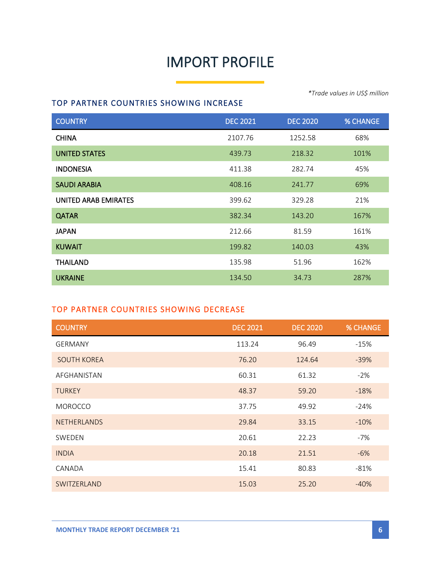# IMPORT PROFILE

#### TOP PARTNER COUNTRIES SHOWING INCREASE

COUNTRY DEC 2021 DEC 2020 % CHANGE **CHINA** 68% **UNITED STATES** 101% 218.32 218.32 101% **INDONESIA** 411.38 282.74 45% SAUDI ARABIA 408.16 241.77 69% UNITED ARAB EMIRATES 399.62 329.28 21% **QATAR** 382.34 143.20 167% **JAPAN** 212.66 81.59 161% **KUWAIT 199.82** 140.03 43% **THAILAND** 135.98 51.96 162% UKRAINE 134.50 34.73 287%

#### TOP PARTNER COUNTRIES SHOWING DECREASE

| <b>COUNTRY</b>     | <b>DEC 2021</b> | <b>DEC 2020</b> | <b>% CHANGE</b> |
|--------------------|-----------------|-----------------|-----------------|
| <b>GERMANY</b>     | 113.24          | 96.49           | $-15%$          |
| <b>SOUTH KOREA</b> | 76.20           | 124.64          | $-39%$          |
| AFGHANISTAN        | 60.31           | 61.32           | $-2%$           |
| <b>TURKEY</b>      | 48.37           | 59.20           | $-18%$          |
| <b>MOROCCO</b>     | 37.75           | 49.92           | $-24%$          |
| <b>NETHERLANDS</b> | 29.84           | 33.15           | $-10%$          |
| SWEDEN             | 20.61           | 22.23           | -7%             |
| <b>INDIA</b>       | 20.18           | 21.51           | $-6%$           |
| CANADA             | 15.41           | 80.83           | $-81%$          |
| SWITZERLAND        | 15.03           | 25.20           | $-40%$          |

*\*Trade values in US\$ million*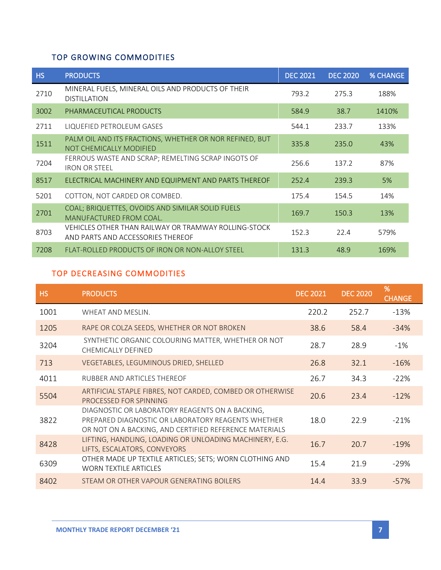### TOP GROWING COMMODITIES

| <b>HS</b> | <b>PRODUCTS</b>                                                                           | <b>DEC 2021</b> | <b>DEC 2020</b> | <b>% CHANGE</b> |
|-----------|-------------------------------------------------------------------------------------------|-----------------|-----------------|-----------------|
| 2710      | MINERAL FUELS, MINERAL OILS AND PRODUCTS OF THEIR<br><b>DISTILLATION</b>                  | 793.2           | 275.3           | 188%            |
| 3002      | PHARMACEUTICAL PRODUCTS                                                                   | 584.9           | 38.7            | 1410%           |
| 2711      | LIQUEFIED PETROLEUM GASES                                                                 | 544.1           | 233.7           | 133%            |
| 1511      | PALM OIL AND ITS FRACTIONS, WHETHER OR NOR REFINED, BUT<br>NOT CHEMICALLY MODIFIED        | 335.8           | 235.0           | 43%             |
| 7204      | FERROUS WASTE AND SCRAP; REMELTING SCRAP INGOTS OF<br><b>IRON OR STEEL</b>                | 256.6           | 137.2           | 87%             |
| 8517      | ELECTRICAL MACHINERY AND EQUIPMENT AND PARTS THEREOF                                      | 252.4           | 239.3           | 5%              |
| 5201      | COTTON, NOT CARDED OR COMBED.                                                             | 175.4           | 154.5           | 14%             |
| 2701      | COAL; BRIQUETTES, OVOIDS AND SIMILAR SOLID FUELS<br>MANUFACTURED FROM COAL.               | 169.7           | 150.3           | 13%             |
| 8703      | VEHICLES OTHER THAN RAILWAY OR TRAMWAY ROLLING-STOCK<br>AND PARTS AND ACCESSORIES THEREOF | 152.3           | 22.4            | 579%            |
| 7208      | FLAT-ROLLED PRODUCTS OF IRON OR NON-ALLOY STEEL                                           | 131.3           | 48.9            | 169%            |

#### TOP DECREASING COMMODITIES

| <b>HS</b> | <b>PRODUCTS</b>                                                                                                                                                 | <b>DEC 2021</b> | <b>DEC 2020</b> | %<br><b>CHANGE</b> |
|-----------|-----------------------------------------------------------------------------------------------------------------------------------------------------------------|-----------------|-----------------|--------------------|
| 1001      | WHEAT AND MESLIN.                                                                                                                                               | 220.2           | 252.7           | $-13%$             |
| 1205      | RAPE OR COLZA SEEDS, WHETHER OR NOT BROKEN                                                                                                                      | 38.6            | 58.4            | $-34%$             |
| 3204      | SYNTHETIC ORGANIC COLOURING MATTER, WHETHER OR NOT<br>CHEMICALLY DEFINED                                                                                        | 28.7            | 28.9            | $-1\%$             |
| 713       | VEGETABLES, LEGUMINOUS DRIED, SHELLED                                                                                                                           | 26.8            | 32.1            | $-16%$             |
| 4011      | RUBBER AND ARTICLES THEREOF                                                                                                                                     | 26.7            | 34.3            | $-22%$             |
| 5504      | ARTIFICIAL STAPLE FIBRES, NOT CARDED, COMBED OR OTHERWISE<br>PROCESSED FOR SPINNING                                                                             | 20.6            | 23.4            | $-12%$             |
| 3822      | DIAGNOSTIC OR LABORATORY REAGENTS ON A BACKING,<br>PREPARED DIAGNOSTIC OR LABORATORY REAGENTS WHETHER<br>OR NOT ON A BACKING, AND CERTIFIED REFERENCE MATERIALS | 18.0            | 22.9            | $-21%$             |
| 8428      | LIFTING, HANDLING, LOADING OR UNLOADING MACHINERY, E.G.<br>LIFTS, ESCALATORS, CONVEYORS                                                                         | 16.7            | 20.7            | $-19%$             |
| 6309      | OTHER MADE UP TEXTILE ARTICLES; SETS; WORN CLOTHING AND<br><b>WORN TEXTILE ARTICLES</b>                                                                         | 15.4            | 21.9            | $-29%$             |
| 8402      | STEAM OR OTHER VAPOUR GENERATING BOILERS                                                                                                                        | 14.4            | 33.9            | $-57%$             |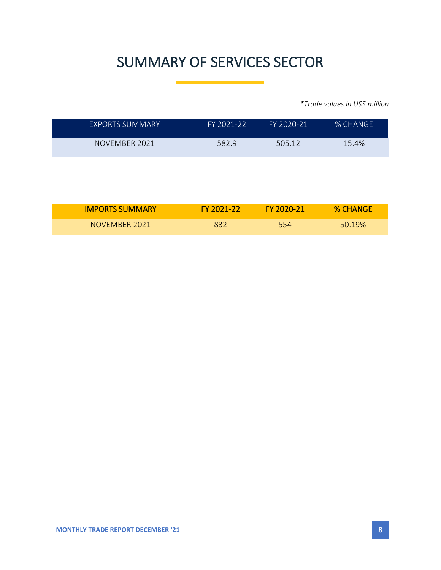# SUMMARY OF SERVICES SECTOR

*\*Trade values in US\$ million*

| EXPORTS SUMMARY | FY 2021-22 | FY 2020-21 | <b>% CHANGE</b> |
|-----------------|------------|------------|-----------------|
| NOVEMBER 2021   | 582.9      | 505.12     | 15.4%           |

| <b>IMPORTS SUMMARY</b> | <b>FY 2021-22</b> | FY 2020-21 | <b>% CHANGE</b> |
|------------------------|-------------------|------------|-----------------|
| NOVEMBER 2021          | 832               | 554        | 50.19%          |